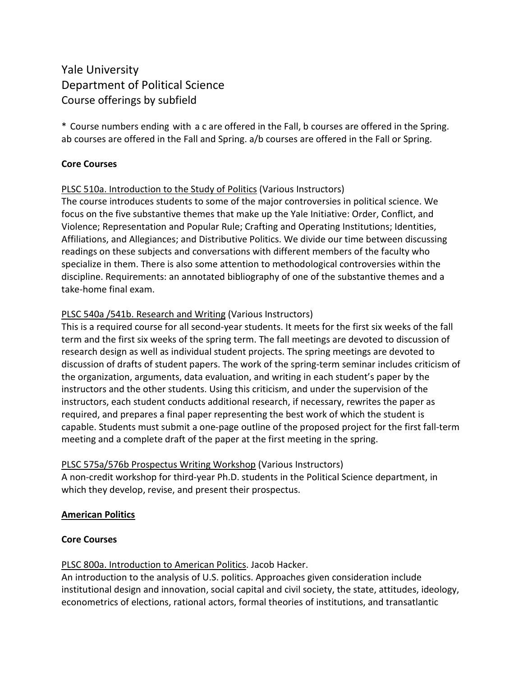# Yale University Department of Political Science Course offerings by subfield

\* Course numbers ending with a c are offered in the Fall, b courses are offered in the Spring. ab courses are offered in the Fall and Spring. a/b courses are offered in the Fall or Spring.

# **Core Courses**

# PLSC 510a. Introduction to the Study of Politics (Various Instructors)

The course introduces students to some of the major controversies in political science. We focus on the five substantive themes that make up the Yale Initiative: Order, Conflict, and Violence; Representation and Popular Rule; Crafting and Operating Institutions; Identities, Affiliations, and Allegiances; and Distributive Politics. We divide our time between discussing readings on these subjects and conversations with different members of the faculty who specialize in them. There is also some attention to methodological controversies within the discipline. Requirements: an annotated bibliography of one of the substantive themes and a take-home final exam.

# PLSC 540a /541b. Research and Writing (Various Instructors)

This is a required course for all second-year students. It meets for the first six weeks of the fall term and the first six weeks of the spring term. The fall meetings are devoted to discussion of research design as well as individual student projects. The spring meetings are devoted to discussion of drafts of student papers. The work of the spring-term seminar includes criticism of the organization, arguments, data evaluation, and writing in each student's paper by the instructors and the other students. Using this criticism, and under the supervision of the instructors, each student conducts additional research, if necessary, rewrites the paper as required, and prepares a final paper representing the best work of which the student is capable. Students must submit a one-page outline of the proposed project for the first fall-term meeting and a complete draft of the paper at the first meeting in the spring.

# PLSC 575a/576b Prospectus Writing Workshop (Various Instructors)

A non-credit workshop for third-year Ph.D. students in the Political Science department, in which they develop, revise, and present their prospectus.

# **American Politics**

# **Core Courses**

# PLSC 800a. Introduction to American Politics. Jacob Hacker.

An introduction to the analysis of U.S. politics. Approaches given consideration include institutional design and innovation, social capital and civil society, the state, attitudes, ideology, econometrics of elections, rational actors, formal theories of institutions, and transatlantic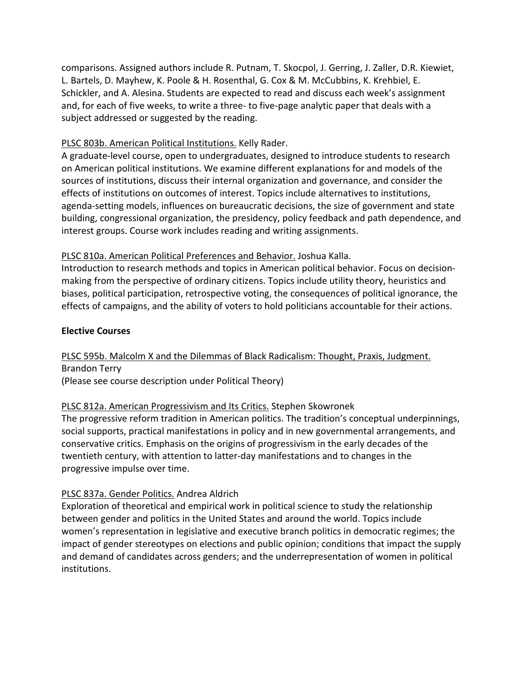comparisons. Assigned authors include R. Putnam, T. Skocpol, J. Gerring, J. Zaller, D.R. Kiewiet, L. Bartels, D. Mayhew, K. Poole & H. Rosenthal, G. Cox & M. McCubbins, K. Krehbiel, E. Schickler, and A. Alesina. Students are expected to read and discuss each week's assignment and, for each of five weeks, to write a three- to five-page analytic paper that deals with a subject addressed or suggested by the reading.

# PLSC 803b. American Political Institutions. Kelly Rader.

A graduate-level course, open to undergraduates, designed to introduce students to research on American political institutions. We examine different explanations for and models of the sources of institutions, discuss their internal organization and governance, and consider the effects of institutions on outcomes of interest. Topics include alternatives to institutions, agenda-setting models, influences on bureaucratic decisions, the size of government and state building, congressional organization, the presidency, policy feedback and path dependence, and interest groups. Course work includes reading and writing assignments.

# PLSC 810a. American Political Preferences and Behavior. Joshua Kalla.

Introduction to research methods and topics in American political behavior. Focus on decisionmaking from the perspective of ordinary citizens. Topics include utility theory, heuristics and biases, political participation, retrospective voting, the consequences of political ignorance, the effects of campaigns, and the ability of voters to hold politicians accountable for their actions.

# **Elective Courses**

# PLSC 595b. Malcolm X and the Dilemmas of Black Radicalism: Thought, Praxis, Judgment. Brandon Terry

(Please see course description under Political Theory)

# PLSC 812a. American Progressivism and Its Critics. Stephen Skowronek

The progressive reform tradition in American politics. The tradition's conceptual underpinnings, social supports, practical manifestations in policy and in new governmental arrangements, and conservative critics. Emphasis on the origins of progressivism in the early decades of the twentieth century, with attention to latter-day manifestations and to changes in the progressive impulse over time.

# PLSC 837a. Gender Politics. Andrea Aldrich

Exploration of theoretical and empirical work in political science to study the relationship between gender and politics in the United States and around the world. Topics include women's representation in legislative and executive branch politics in democratic regimes; the impact of gender stereotypes on elections and public opinion; conditions that impact the supply and demand of candidates across genders; and the underrepresentation of women in political institutions.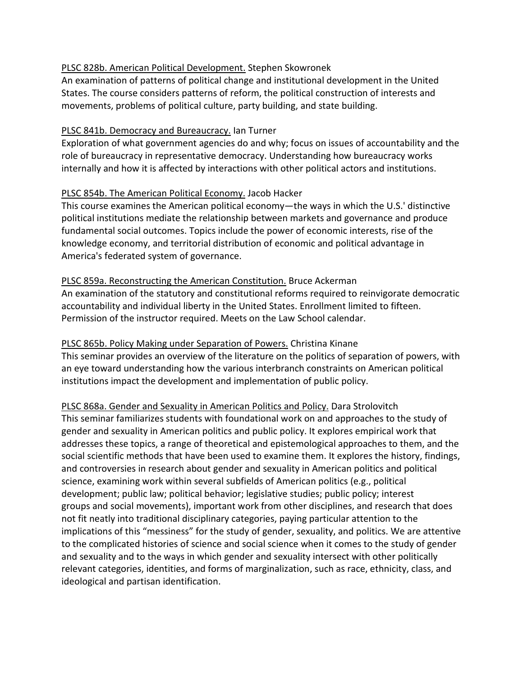#### PLSC 828b. American Political Development. Stephen Skowronek

An examination of patterns of political change and institutional development in the United States. The course considers patterns of reform, the political construction of interests and movements, problems of political culture, party building, and state building.

#### PLSC 841b. Democracy and Bureaucracy. Ian Turner

Exploration of what government agencies do and why; focus on issues of accountability and the role of bureaucracy in representative democracy. Understanding how bureaucracy works internally and how it is affected by interactions with other political actors and institutions.

#### PLSC 854b. The American Political Economy. Jacob Hacker

This course examines the American political economy―the ways in which the U.S.' distinctive political institutions mediate the relationship between markets and governance and produce fundamental social outcomes. Topics include the power of economic interests, rise of the knowledge economy, and territorial distribution of economic and political advantage in America's federated system of governance.

#### PLSC 859a. Reconstructing the American Constitution. Bruce Ackerman

An examination of the statutory and constitutional reforms required to reinvigorate democratic accountability and individual liberty in the United States. Enrollment limited to fifteen. Permission of the instructor required. Meets on the Law School calendar.

# PLSC 865b. Policy Making under Separation of Powers. Christina Kinane

This seminar provides an overview of the literature on the politics of separation of powers, with an eye toward understanding how the various interbranch constraints on American political institutions impact the development and implementation of public policy.

# PLSC 868a. Gender and Sexuality in American Politics and Policy. Dara Strolovitch

This seminar familiarizes students with foundational work on and approaches to the study of gender and sexuality in American politics and public policy. It explores empirical work that addresses these topics, a range of theoretical and epistemological approaches to them, and the social scientific methods that have been used to examine them. It explores the history, findings, and controversies in research about gender and sexuality in American politics and political science, examining work within several subfields of American politics (e.g., political development; public law; political behavior; legislative studies; public policy; interest groups and social movements), important work from other disciplines, and research that does not fit neatly into traditional disciplinary categories, paying particular attention to the implications of this "messiness" for the study of gender, sexuality, and politics. We are attentive to the complicated histories of science and social science when it comes to the study of gender and sexuality and to the ways in which gender and sexuality intersect with other politically relevant categories, identities, and forms of marginalization, such as race, ethnicity, class, and ideological and partisan identification.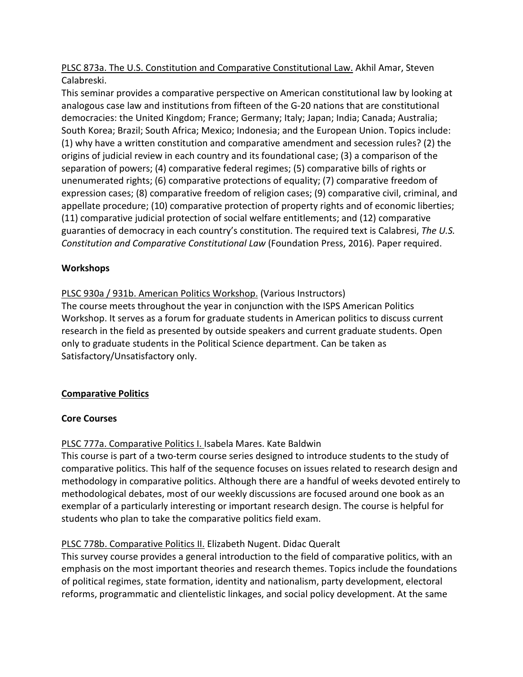PLSC 873a. The U.S. Constitution and Comparative Constitutional Law. Akhil Amar, Steven Calabreski.

This seminar provides a comparative perspective on American constitutional law by looking at analogous case law and institutions from fifteen of the G-20 nations that are constitutional democracies: the United Kingdom; France; Germany; Italy; Japan; India; Canada; Australia; South Korea; Brazil; South Africa; Mexico; Indonesia; and the European Union. Topics include: (1) why have a written constitution and comparative amendment and secession rules? (2) the origins of judicial review in each country and its foundational case; (3) a comparison of the separation of powers; (4) comparative federal regimes; (5) comparative bills of rights or unenumerated rights; (6) comparative protections of equality; (7) comparative freedom of expression cases; (8) comparative freedom of religion cases; (9) comparative civil, criminal, and appellate procedure; (10) comparative protection of property rights and of economic liberties; (11) comparative judicial protection of social welfare entitlements; and (12) comparative guaranties of democracy in each country's constitution. The required text is Calabresi, *The U.S. Constitution and Comparative Constitutional Law* (Foundation Press, 2016). Paper required.

# **Workshops**

PLSC 930a / 931b. American Politics Workshop. (Various Instructors)

The course meets throughout the year in conjunction with the ISPS American Politics Workshop. It serves as a forum for graduate students in American politics to discuss current research in the field as presented by outside speakers and current graduate students. Open only to graduate students in the Political Science department. Can be taken as Satisfactory/Unsatisfactory only.

# **Comparative Politics**

# **Core Courses**

# PLSC 777a. Comparative Politics I. Isabela Mares. Kate Baldwin

This course is part of a two-term course series designed to introduce students to the study of comparative politics. This half of the sequence focuses on issues related to research design and methodology in comparative politics. Although there are a handful of weeks devoted entirely to methodological debates, most of our weekly discussions are focused around one book as an exemplar of a particularly interesting or important research design. The course is helpful for students who plan to take the comparative politics field exam.

# PLSC 778b. Comparative Politics II. Elizabeth Nugent. Didac Queralt

This survey course provides a general introduction to the field of comparative politics, with an emphasis on the most important theories and research themes. Topics include the foundations of political regimes, state formation, identity and nationalism, party development, electoral reforms, programmatic and clientelistic linkages, and social policy development. At the same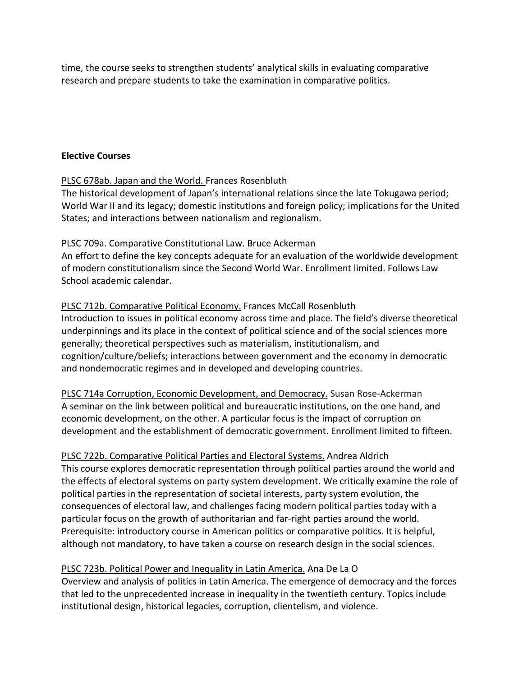time, the course seeks to strengthen students' analytical skills in evaluating comparative research and prepare students to take the examination in comparative politics.

#### **Elective Courses**

# PLSC 678ab. Japan and the World. Frances Rosenbluth

The historical development of Japan's international relations since the late Tokugawa period; World War II and its legacy; domestic institutions and foreign policy; implications for the United States; and interactions between nationalism and regionalism.

#### PLSC 709a. Comparative Constitutional Law. Bruce Ackerman

An effort to define the key concepts adequate for an evaluation of the worldwide development of modern constitutionalism since the Second World War. Enrollment limited. Follows Law School academic calendar.

#### PLSC 712b. Comparative Political Economy. Frances McCall Rosenbluth

Introduction to issues in political economy across time and place. The field's diverse theoretical underpinnings and its place in the context of political science and of the social sciences more generally; theoretical perspectives such as materialism, institutionalism, and cognition/culture/beliefs; interactions between government and the economy in democratic and nondemocratic regimes and in developed and developing countries.

PLSC 714a Corruption, Economic Development, and Democracy. Susan Rose-Ackerman A seminar on the link between political and bureaucratic institutions, on the one hand, and economic development, on the other. A particular focus is the impact of corruption on development and the establishment of democratic government. Enrollment limited to fifteen.

PLSC 722b. Comparative Political Parties and Electoral Systems. Andrea Aldrich This course explores democratic representation through political parties around the world and the effects of electoral systems on party system development. We critically examine the role of political parties in the representation of societal interests, party system evolution, the consequences of electoral law, and challenges facing modern political parties today with a particular focus on the growth of authoritarian and far-right parties around the world. Prerequisite: introductory course in American politics or comparative politics. It is helpful, although not mandatory, to have taken a course on research design in the social sciences.

# PLSC 723b. Political Power and Inequality in Latin America. Ana De La O

Overview and analysis of politics in Latin America. The emergence of democracy and the forces that led to the unprecedented increase in inequality in the twentieth century. Topics include institutional design, historical legacies, corruption, clientelism, and violence.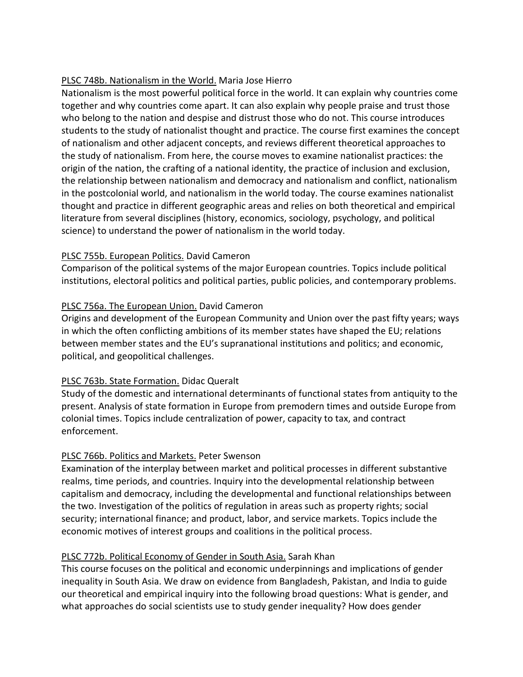# PLSC 748b. Nationalism in the World. Maria Jose Hierro

Nationalism is the most powerful political force in the world. It can explain why countries come together and why countries come apart. It can also explain why people praise and trust those who belong to the nation and despise and distrust those who do not. This course introduces students to the study of nationalist thought and practice. The course first examines the concept of nationalism and other adjacent concepts, and reviews different theoretical approaches to the study of nationalism. From here, the course moves to examine nationalist practices: the origin of the nation, the crafting of a national identity, the practice of inclusion and exclusion, the relationship between nationalism and democracy and nationalism and conflict, nationalism in the postcolonial world, and nationalism in the world today. The course examines nationalist thought and practice in different geographic areas and relies on both theoretical and empirical literature from several disciplines (history, economics, sociology, psychology, and political science) to understand the power of nationalism in the world today.

# PLSC 755b. European Politics. David Cameron

Comparison of the political systems of the major European countries. Topics include political institutions, electoral politics and political parties, public policies, and contemporary problems.

# PLSC 756a. The European Union. David Cameron

Origins and development of the European Community and Union over the past fifty years; ways in which the often conflicting ambitions of its member states have shaped the EU; relations between member states and the EU's supranational institutions and politics; and economic, political, and geopolitical challenges.

# PLSC 763b. State Formation. Didac Queralt

Study of the domestic and international determinants of functional states from antiquity to the present. Analysis of state formation in Europe from premodern times and outside Europe from colonial times. Topics include centralization of power, capacity to tax, and contract enforcement.

# PLSC 766b. Politics and Markets. Peter Swenson

Examination of the interplay between market and political processes in different substantive realms, time periods, and countries. Inquiry into the developmental relationship between capitalism and democracy, including the developmental and functional relationships between the two. Investigation of the politics of regulation in areas such as property rights; social security; international finance; and product, labor, and service markets. Topics include the economic motives of interest groups and coalitions in the political process.

# PLSC 772b. Political Economy of Gender in South Asia. Sarah Khan

This course focuses on the political and economic underpinnings and implications of gender inequality in South Asia. We draw on evidence from Bangladesh, Pakistan, and India to guide our theoretical and empirical inquiry into the following broad questions: What is gender, and what approaches do social scientists use to study gender inequality? How does gender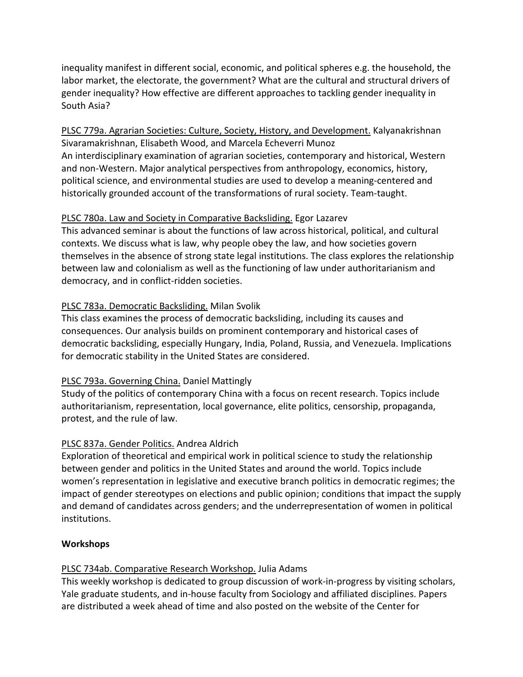inequality manifest in different social, economic, and political spheres e.g. the household, the labor market, the electorate, the government? What are the cultural and structural drivers of gender inequality? How effective are different approaches to tackling gender inequality in South Asia?

PLSC 779a. Agrarian Societies: Culture, Society, History, and Development. Kalyanakrishnan Sivaramakrishnan, Elisabeth Wood, and Marcela Echeverri Munoz An interdisciplinary examination of agrarian societies, contemporary and historical, Western and non-Western. Major analytical perspectives from anthropology, economics, history, political science, and environmental studies are used to develop a meaning-centered and historically grounded account of the transformations of rural society. Team-taught.

# PLSC 780a. Law and Society in Comparative Backsliding. Egor Lazarev

This advanced seminar is about the functions of law across historical, political, and cultural contexts. We discuss what is law, why people obey the law, and how societies govern themselves in the absence of strong state legal institutions. The class explores the relationship between law and colonialism as well as the functioning of law under authoritarianism and democracy, and in conflict-ridden societies.

# PLSC 783a. Democratic Backsliding. Milan Svolik

This class examines the process of democratic backsliding, including its causes and consequences. Our analysis builds on prominent contemporary and historical cases of democratic backsliding, especially Hungary, India, Poland, Russia, and Venezuela. Implications for democratic stability in the United States are considered.

# PLSC 793a. Governing China. Daniel Mattingly

Study of the politics of contemporary China with a focus on recent research. Topics include authoritarianism, representation, local governance, elite politics, censorship, propaganda, protest, and the rule of law.

# PLSC 837a. Gender Politics. Andrea Aldrich

Exploration of theoretical and empirical work in political science to study the relationship between gender and politics in the United States and around the world. Topics include women's representation in legislative and executive branch politics in democratic regimes; the impact of gender stereotypes on elections and public opinion; conditions that impact the supply and demand of candidates across genders; and the underrepresentation of women in political institutions.

# **Workshops**

# PLSC 734ab. Comparative Research Workshop. Julia Adams

This weekly workshop is dedicated to group discussion of work-in-progress by visiting scholars, Yale graduate students, and in-house faculty from Sociology and affiliated disciplines. Papers are distributed a week ahead of time and also posted on the website of the Center for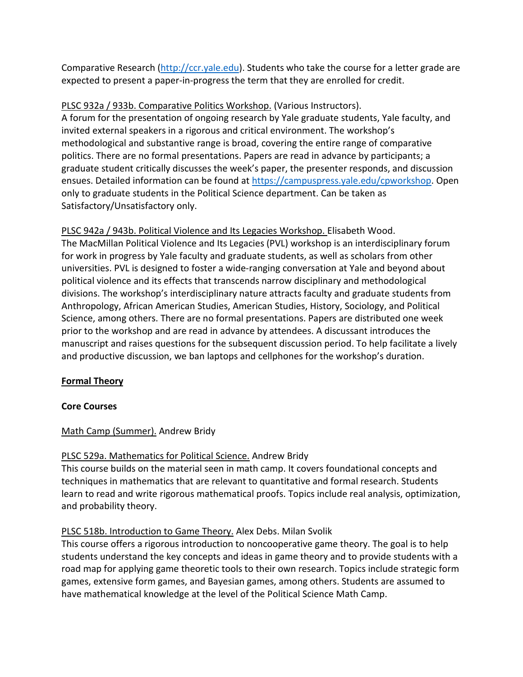Comparative Research [\(http://ccr.yale.edu\)](http://ccr.yale.edu/). Students who take the course for a letter grade are expected to present a paper-in-progress the term that they are enrolled for credit.

# PLSC 932a / 933b. Comparative Politics Workshop. (Various Instructors).

A forum for the presentation of ongoing research by Yale graduate students, Yale faculty, and invited external speakers in a rigorous and critical environment. The workshop's methodological and substantive range is broad, covering the entire range of comparative politics. There are no formal presentations. Papers are read in advance by participants; a graduate student critically discusses the week's paper, the presenter responds, and discussion ensues. Detailed information can be found at [https://campuspress.yale.edu/cpworkshop.](https://campuspress.yale.edu/cpworkshop) Open only to graduate students in the Political Science department. Can be taken as Satisfactory/Unsatisfactory only.

PLSC 942a / 943b. Political Violence and Its Legacies Workshop. Elisabeth Wood. The MacMillan Political Violence and Its Legacies (PVL) workshop is an interdisciplinary forum for work in progress by Yale faculty and graduate students, as well as scholars from other universities. PVL is designed to foster a wide-ranging conversation at Yale and beyond about political violence and its effects that transcends narrow disciplinary and methodological divisions. The workshop's interdisciplinary nature attracts faculty and graduate students from Anthropology, African American Studies, American Studies, History, Sociology, and Political Science, among others. There are no formal presentations. Papers are distributed one week prior to the workshop and are read in advance by attendees. A discussant introduces the manuscript and raises questions for the subsequent discussion period. To help facilitate a lively and productive discussion, we ban laptops and cellphones for the workshop's duration.

# **Formal Theory**

# **Core Courses**

# Math Camp (Summer). Andrew Bridy

# PLSC 529a. Mathematics for Political Science. Andrew Bridy

This course builds on the material seen in math camp. It covers foundational concepts and techniques in mathematics that are relevant to quantitative and formal research. Students learn to read and write rigorous mathematical proofs. Topics include real analysis, optimization, and probability theory.

# PLSC 518b. Introduction to Game Theory. Alex Debs. Milan Svolik

This course offers a rigorous introduction to noncooperative game theory. The goal is to help students understand the key concepts and ideas in game theory and to provide students with a road map for applying game theoretic tools to their own research. Topics include strategic form games, extensive form games, and Bayesian games, among others. Students are assumed to have mathematical knowledge at the level of the Political Science Math Camp.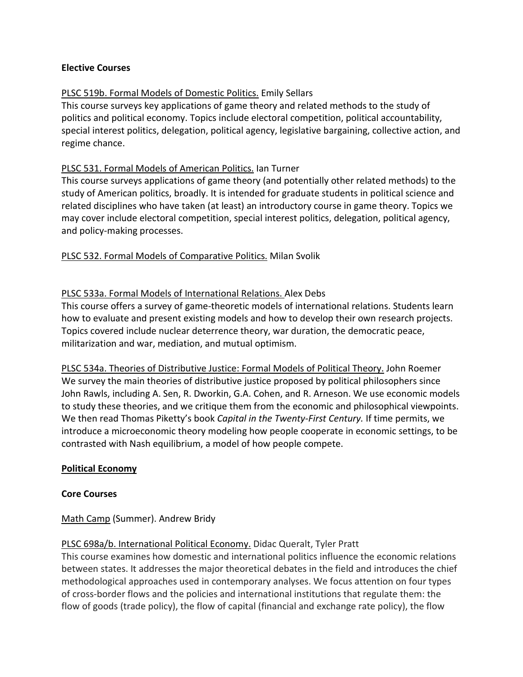#### **Elective Courses**

# PLSC 519b. Formal Models of Domestic Politics. Emily Sellars

This course surveys key applications of game theory and related methods to the study of politics and political economy. Topics include electoral competition, political accountability, special interest politics, delegation, political agency, legislative bargaining, collective action, and regime chance.

# PLSC 531. Formal Models of American Politics. Ian Turner

This course surveys applications of game theory (and potentially other related methods) to the study of American politics, broadly. It is intended for graduate students in political science and related disciplines who have taken (at least) an introductory course in game theory. Topics we may cover include electoral competition, special interest politics, delegation, political agency, and policy-making processes.

# PLSC 532. Formal Models of Comparative Politics. Milan Svolik

# PLSC 533a. Formal Models of International Relations. Alex Debs

This course offers a survey of game-theoretic models of international relations. Students learn how to evaluate and present existing models and how to develop their own research projects. Topics covered include nuclear deterrence theory, war duration, the democratic peace, militarization and war, mediation, and mutual optimism.

PLSC 534a. Theories of Distributive Justice: Formal Models of Political Theory. John Roemer We survey the main theories of distributive justice proposed by political philosophers since John Rawls, including A. Sen, R. Dworkin, G.A. Cohen, and R. Arneson. We use economic models to study these theories, and we critique them from the economic and philosophical viewpoints. We then read Thomas Piketty's book *Capital in the Twenty-First Century.* If time permits, we introduce a microeconomic theory modeling how people cooperate in economic settings, to be contrasted with Nash equilibrium, a model of how people compete.

#### **Political Economy**

#### **Core Courses**

Math Camp (Summer). Andrew Bridy

# PLSC 698a/b. International Political Economy. Didac Queralt, Tyler Pratt

This course examines how domestic and international politics influence the economic relations between states. It addresses the major theoretical debates in the field and introduces the chief methodological approaches used in contemporary analyses. We focus attention on four types of cross-border flows and the policies and international institutions that regulate them: the flow of goods (trade policy), the flow of capital (financial and exchange rate policy), the flow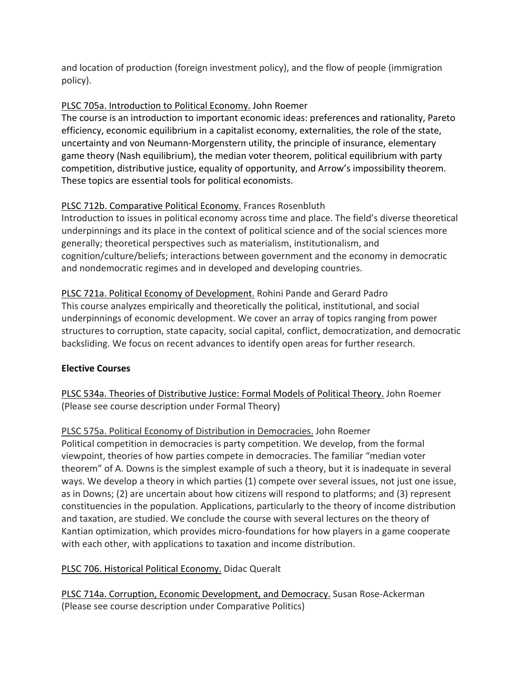and location of production (foreign investment policy), and the flow of people (immigration policy).

# PLSC 705a. Introduction to Political Economy. John Roemer

The course is an introduction to important economic ideas: preferences and rationality, Pareto efficiency, economic equilibrium in a capitalist economy, externalities, the role of the state, uncertainty and von Neumann-Morgenstern utility, the principle of insurance, elementary game theory (Nash equilibrium), the median voter theorem, political equilibrium with party competition, distributive justice, equality of opportunity, and Arrow's impossibility theorem. These topics are essential tools for political economists.

# PLSC 712b. Comparative Political Economy. Frances Rosenbluth

Introduction to issues in political economy across time and place. The field's diverse theoretical underpinnings and its place in the context of political science and of the social sciences more generally; theoretical perspectives such as materialism, institutionalism, and cognition/culture/beliefs; interactions between government and the economy in democratic and nondemocratic regimes and in developed and developing countries.

PLSC 721a. Political Economy of Development. Rohini Pande and Gerard Padro This course analyzes empirically and theoretically the political, institutional, and social underpinnings of economic development. We cover an array of topics ranging from power structures to corruption, state capacity, social capital, conflict, democratization, and democratic backsliding. We focus on recent advances to identify open areas for further research.

# **Elective Courses**

PLSC 534a. Theories of Distributive Justice: Formal Models of Political Theory. John Roemer (Please see course description under Formal Theory)

PLSC 575a. Political Economy of Distribution in Democracies. John Roemer Political competition in democracies is party competition. We develop, from the formal viewpoint, theories of how parties compete in democracies. The familiar "median voter theorem" of A. Downs is the simplest example of such a theory, but it is inadequate in several ways. We develop a theory in which parties (1) compete over several issues, not just one issue, as in Downs; (2) are uncertain about how citizens will respond to platforms; and (3) represent constituencies in the population. Applications, particularly to the theory of income distribution and taxation, are studied. We conclude the course with several lectures on the theory of Kantian optimization, which provides micro-foundations for how players in a game cooperate with each other, with applications to taxation and income distribution.

# PLSC 706. Historical Political Economy. Didac Queralt

PLSC 714a. Corruption, Economic Development, and Democracy. Susan Rose-Ackerman (Please see course description under Comparative Politics)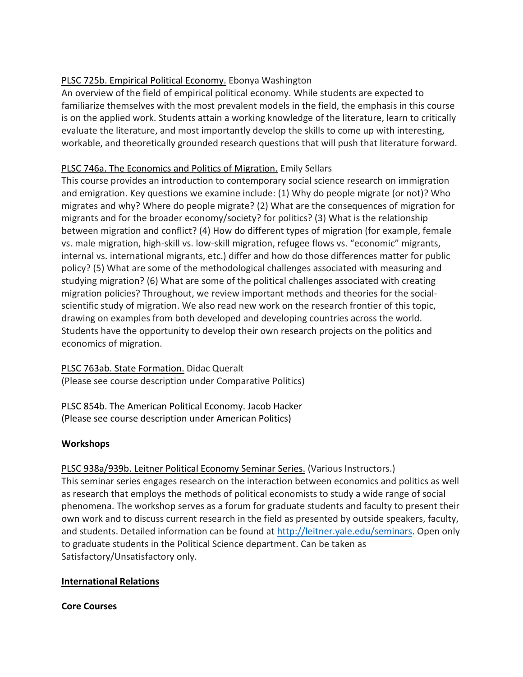# PLSC 725b. Empirical Political Economy. Ebonya Washington

An overview of the field of empirical political economy. While students are expected to familiarize themselves with the most prevalent models in the field, the emphasis in this course is on the applied work. Students attain a working knowledge of the literature, learn to critically evaluate the literature, and most importantly develop the skills to come up with interesting, workable, and theoretically grounded research questions that will push that literature forward.

# PLSC 746a. The Economics and Politics of Migration. Emily Sellars

This course provides an introduction to contemporary social science research on immigration and emigration. Key questions we examine include: (1) Why do people migrate (or not)? Who migrates and why? Where do people migrate? (2) What are the consequences of migration for migrants and for the broader economy/society? for politics? (3) What is the relationship between migration and conflict? (4) How do different types of migration (for example, female vs. male migration, high-skill vs. low-skill migration, refugee flows vs. "economic" migrants, internal vs. international migrants, etc.) differ and how do those differences matter for public policy? (5) What are some of the methodological challenges associated with measuring and studying migration? (6) What are some of the political challenges associated with creating migration policies? Throughout, we review important methods and theories for the socialscientific study of migration. We also read new work on the research frontier of this topic, drawing on examples from both developed and developing countries across the world. Students have the opportunity to develop their own research projects on the politics and economics of migration.

PLSC 763ab. State Formation. Didac Queralt (Please see course description under Comparative Politics)

# PLSC 854b. The American Political Economy. Jacob Hacker (Please see course description under American Politics)

# **Workshops**

# PLSC 938a/939b. Leitner Political Economy Seminar Series. (Various Instructors.)

This seminar series engages research on the interaction between economics and politics as well as research that employs the methods of political economists to study a wide range of social phenomena. The workshop serves as a forum for graduate students and faculty to present their own work and to discuss current research in the field as presented by outside speakers, faculty, and students. Detailed information can be found at [http://leitner.yale.edu/seminars.](http://leitner.yale.edu/seminars) Open only to graduate students in the Political Science department. Can be taken as Satisfactory/Unsatisfactory only.

# **International Relations**

# **Core Courses**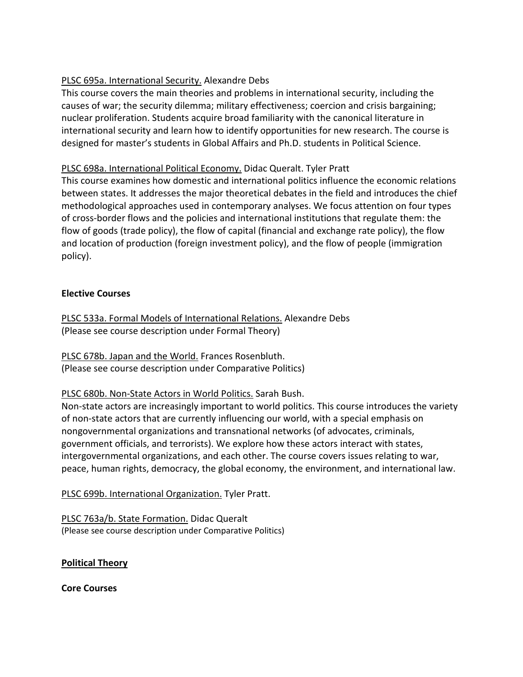# PLSC 695a. International Security. Alexandre Debs

This course covers the main theories and problems in international security, including the causes of war; the security dilemma; military effectiveness; coercion and crisis bargaining; nuclear proliferation. Students acquire broad familiarity with the canonical literature in international security and learn how to identify opportunities for new research. The course is designed for master's students in Global Affairs and Ph.D. students in Political Science.

# PLSC 698a. International Political Economy. Didac Queralt. Tyler Pratt

This course examines how domestic and international politics influence the economic relations between states. It addresses the major theoretical debates in the field and introduces the chief methodological approaches used in contemporary analyses. We focus attention on four types of cross-border flows and the policies and international institutions that regulate them: the flow of goods (trade policy), the flow of capital (financial and exchange rate policy), the flow and location of production (foreign investment policy), and the flow of people (immigration policy).

# **Elective Courses**

PLSC 533a. Formal Models of International Relations. Alexandre Debs (Please see course description under Formal Theory)

PLSC 678b. Japan and the World. Frances Rosenbluth. (Please see course description under Comparative Politics)

PLSC 680b. Non-State Actors in World Politics. Sarah Bush.

Non-state actors are increasingly important to world politics. This course introduces the variety of non-state actors that are currently influencing our world, with a special emphasis on nongovernmental organizations and transnational networks (of advocates, criminals, government officials, and terrorists). We explore how these actors interact with states, intergovernmental organizations, and each other. The course covers issues relating to war, peace, human rights, democracy, the global economy, the environment, and international law.

PLSC 699b. International Organization. Tyler Pratt.

PLSC 763a/b. State Formation. Didac Queralt (Please see course description under Comparative Politics)

# **Political Theory**

**Core Courses**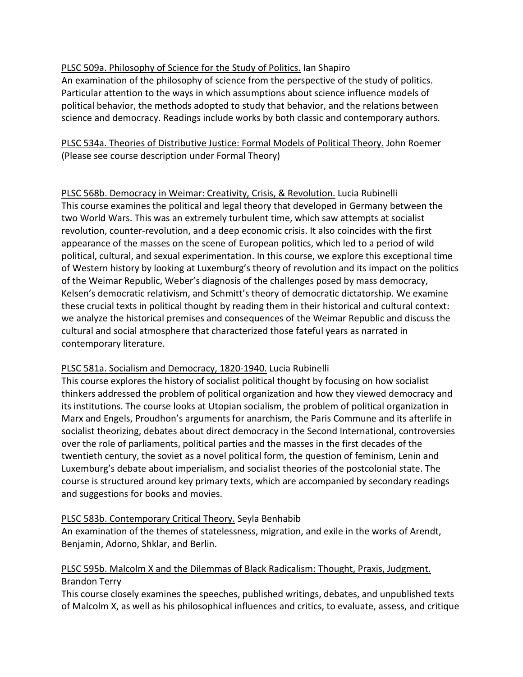# PLSC 509a. Philosophy of Science for the Study of Politics. Ian Shapiro

An examination of the philosophy of science from the perspective of the study of politics. Particular attention to the ways in which assumptions about science influence models of political behavior, the methods adopted to study that behavior, and the relations between science and democracy. Readings include works by both classic and contemporary authors.

PLSC 534a. Theories of Distributive Justice: Formal Models of Political Theory. John Roemer (Please see course description under Formal Theory)

PLSC 568b. Democracy in Weimar: Creativity, Crisis, & Revolution. Lucia Rubinelli This course examines the political and legal theory that developed in Germany between the two World Wars. This was an extremely turbulent time, which saw attempts at socialist revolution, counter-revolution, and a deep economic crisis. It also coincides with the first appearance of the masses on the scene of European politics, which led to a period of wild political, cultural, and sexual experimentation. In this course, we explore this exceptional time of Western history by looking at Luxemburg's theory of revolution and its impact on the politics of the Weimar Republic, Weber's diagnosis of the challenges posed by mass democracy, Kelsen's democratic relativism, and Schmitt's theory of democratic dictatorship. We examine these crucial texts in political thought by reading them in their historical and cultural context: we analyze the historical premises and consequences of the Weimar Republic and discuss the cultural and social atmosphere that characterized those fateful years as narrated in contemporary literature.

# PLSC 581a. Socialism and Democracy, 1820-1940. Lucia Rubinelli

This course explores the history of socialist political thought by focusing on how socialist thinkers addressed the problem of political organization and how they viewed democracy and its institutions. The course looks at Utopian socialism, the problem of political organization in Marx and Engels, Proudhon's arguments for anarchism, the Paris Commune and its afterlife in socialist theorizing, debates about direct democracy in the Second International, controversies over the role of parliaments, political parties and the masses in the first decades of the twentieth century, the soviet as a novel political form, the question of feminism, Lenin and Luxemburg's debate about imperialism, and socialist theories of the postcolonial state. The course is structured around key primary texts, which are accompanied by secondary readings and suggestions for books and movies.

# PLSC 583b. Contemporary Critical Theory. Seyla Benhabib

An examination of the themes of statelessness, migration, and exile in the works of Arendt, Benjamin, Adorno, Shklar, and Berlin.

# PLSC 595b. Malcolm X and the Dilemmas of Black Radicalism: Thought, Praxis, Judgment. Brandon Terry

This course closely examines the speeches, published writings, debates, and unpublished texts of Malcolm X, as well as his philosophical influences and critics, to evaluate, assess, and critique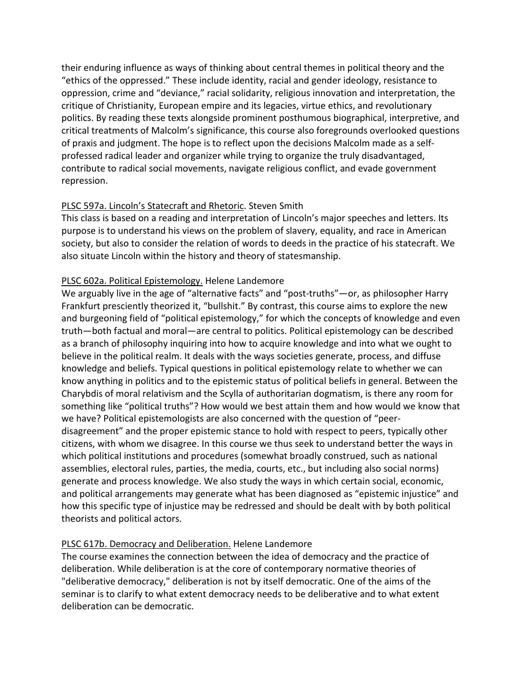their enduring influence as ways of thinking about central themes in political theory and the "ethics of the oppressed." These include identity, racial and gender ideology, resistance to oppression, crime and "deviance," racial solidarity, religious innovation and interpretation, the critique of Christianity, European empire and its legacies, virtue ethics, and revolutionary politics. By reading these texts alongside prominent posthumous biographical, interpretive, and critical treatments of Malcolm's significance, this course also foregrounds overlooked questions of praxis and judgment. The hope is to reflect upon the decisions Malcolm made as a selfprofessed radical leader and organizer while trying to organize the truly disadvantaged, contribute to radical social movements, navigate religious conflict, and evade government repression.

#### PLSC 597a. Lincoln's Statecraft and Rhetoric. Steven Smith

This class is based on a reading and interpretation of Lincoln's major speeches and letters. Its purpose is to understand his views on the problem of slavery, equality, and race in American society, but also to consider the relation of words to deeds in the practice of his statecraft. We also situate Lincoln within the history and theory of statesmanship.

#### PLSC 602a. Political Epistemology. Helene Landemore

We arguably live in the age of "alternative facts" and "post-truths"—or, as philosopher Harry Frankfurt presciently theorized it, "bullshit." By contrast, this course aims to explore the new and burgeoning field of "political epistemology," for which the concepts of knowledge and even truth—both factual and moral—are central to politics. Political epistemology can be described as a branch of philosophy inquiring into how to acquire knowledge and into what we ought to believe in the political realm. It deals with the ways societies generate, process, and diffuse knowledge and beliefs. Typical questions in political epistemology relate to whether we can know anything in politics and to the epistemic status of political beliefs in general. Between the Charybdis of moral relativism and the Scylla of authoritarian dogmatism, is there any room for something like "political truths"? How would we best attain them and how would we know that we have? Political epistemologists are also concerned with the question of "peerdisagreement" and the proper epistemic stance to hold with respect to peers, typically other citizens, with whom we disagree. In this course we thus seek to understand better the ways in which political institutions and procedures (somewhat broadly construed, such as national assemblies, electoral rules, parties, the media, courts, etc., but including also social norms) generate and process knowledge. We also study the ways in which certain social, economic, and political arrangements may generate what has been diagnosed as "epistemic injustice" and how this specific type of injustice may be redressed and should be dealt with by both political theorists and political actors.

# PLSC 617b. Democracy and Deliberation. Helene Landemore

The course examines the connection between the idea of democracy and the practice of deliberation. While deliberation is at the core of contemporary normative theories of "deliberative democracy," deliberation is not by itself democratic. One of the aims of the seminar is to clarify to what extent democracy needs to be deliberative and to what extent deliberation can be democratic.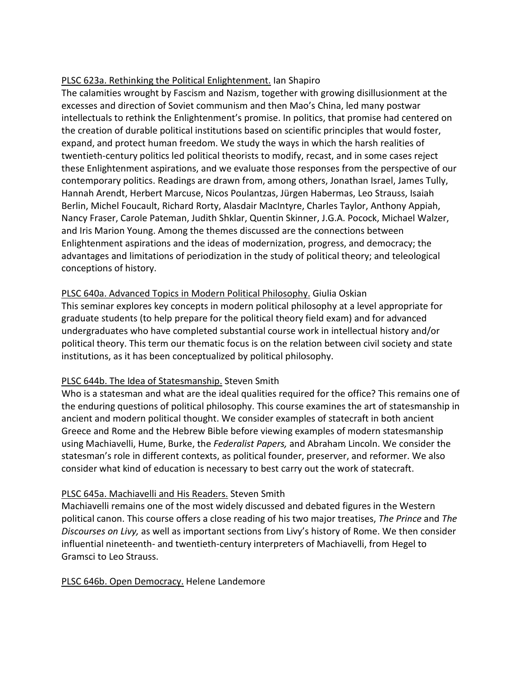# PLSC 623a. Rethinking the Political Enlightenment. Ian Shapiro

The calamities wrought by Fascism and Nazism, together with growing disillusionment at the excesses and direction of Soviet communism and then Mao's China, led many postwar intellectuals to rethink the Enlightenment's promise. In politics, that promise had centered on the creation of durable political institutions based on scientific principles that would foster, expand, and protect human freedom. We study the ways in which the harsh realities of twentieth-century politics led political theorists to modify, recast, and in some cases reject these Enlightenment aspirations, and we evaluate those responses from the perspective of our contemporary politics. Readings are drawn from, among others, Jonathan Israel, James Tully, Hannah Arendt, Herbert Marcuse, Nicos Poulantzas, Jürgen Habermas, Leo Strauss, Isaiah Berlin, Michel Foucault, Richard Rorty, Alasdair MacIntyre, Charles Taylor, Anthony Appiah, Nancy Fraser, Carole Pateman, Judith Shklar, Quentin Skinner, J.G.A. Pocock, Michael Walzer, and Iris Marion Young. Among the themes discussed are the connections between Enlightenment aspirations and the ideas of modernization, progress, and democracy; the advantages and limitations of periodization in the study of political theory; and teleological conceptions of history.

# PLSC 640a. Advanced Topics in Modern Political Philosophy. Giulia Oskian

This seminar explores key concepts in modern political philosophy at a level appropriate for graduate students (to help prepare for the political theory field exam) and for advanced undergraduates who have completed substantial course work in intellectual history and/or political theory. This term our thematic focus is on the relation between civil society and state institutions, as it has been conceptualized by political philosophy.

# PLSC 644b. The Idea of Statesmanship. Steven Smith

Who is a statesman and what are the ideal qualities required for the office? This remains one of the enduring questions of political philosophy. This course examines the art of statesmanship in ancient and modern political thought. We consider examples of statecraft in both ancient Greece and Rome and the Hebrew Bible before viewing examples of modern statesmanship using Machiavelli, Hume, Burke, the *Federalist Papers,* and Abraham Lincoln. We consider the statesman's role in different contexts, as political founder, preserver, and reformer. We also consider what kind of education is necessary to best carry out the work of statecraft.

# PLSC 645a. Machiavelli and His Readers. Steven Smith

Machiavelli remains one of the most widely discussed and debated figures in the Western political canon. This course offers a close reading of his two major treatises, *The Prince* and *The Discourses on Livy,* as well as important sections from Livy's history of Rome. We then consider influential nineteenth- and twentieth-century interpreters of Machiavelli, from Hegel to Gramsci to Leo Strauss.

# PLSC 646b. Open Democracy. Helene Landemore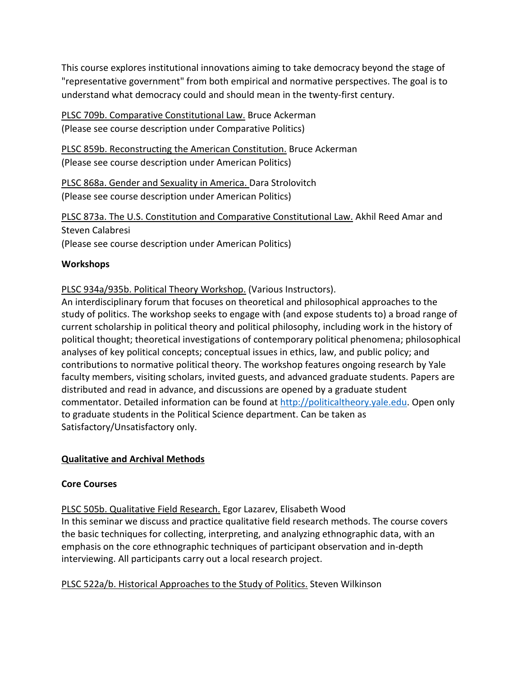This course explores institutional innovations aiming to take democracy beyond the stage of "representative government" from both empirical and normative perspectives. The goal is to understand what democracy could and should mean in the twenty-first century.

PLSC 709b. Comparative Constitutional Law. Bruce Ackerman (Please see course description under Comparative Politics)

PLSC 859b. Reconstructing the American Constitution. Bruce Ackerman (Please see course description under American Politics)

PLSC 868a. Gender and Sexuality in America. Dara Strolovitch (Please see course description under American Politics)

PLSC 873a. The U.S. Constitution and Comparative Constitutional Law. Akhil Reed Amar and Steven Calabresi (Please see course description under American Politics)

# **Workshops**

# PLSC 934a/935b. Political Theory Workshop. (Various Instructors).

An interdisciplinary forum that focuses on theoretical and philosophical approaches to the study of politics. The workshop seeks to engage with (and expose students to) a broad range of current scholarship in political theory and political philosophy, including work in the history of political thought; theoretical investigations of contemporary political phenomena; philosophical analyses of key political concepts; conceptual issues in ethics, law, and public policy; and contributions to normative political theory. The workshop features ongoing research by Yale faculty members, visiting scholars, invited guests, and advanced graduate students. Papers are distributed and read in advance, and discussions are opened by a graduate student commentator. Detailed information can be found at [http://politicaltheory.yale.edu.](http://politicaltheory.yale.edu/) Open only to graduate students in the Political Science department. Can be taken as Satisfactory/Unsatisfactory only.

# **Qualitative and Archival Methods**

# **Core Courses**

PLSC 505b. Qualitative Field Research. Egor Lazarev, Elisabeth Wood In this seminar we discuss and practice qualitative field research methods. The course covers the basic techniques for collecting, interpreting, and analyzing ethnographic data, with an emphasis on the core ethnographic techniques of participant observation and in-depth interviewing. All participants carry out a local research project.

PLSC 522a/b. Historical Approaches to the Study of Politics. Steven Wilkinson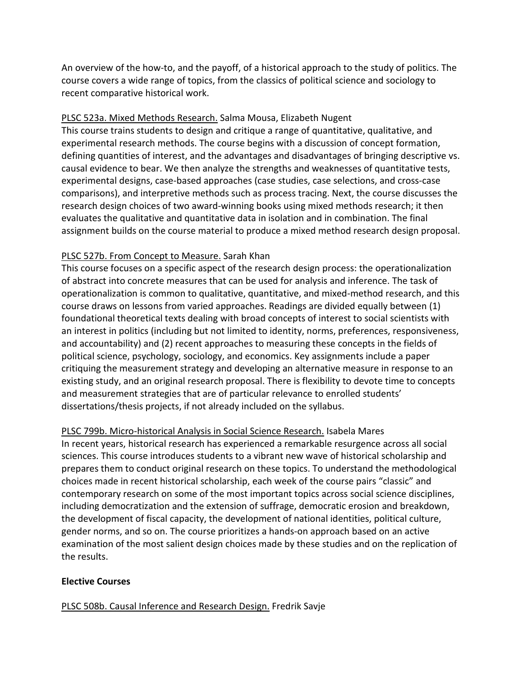An overview of the how-to, and the payoff, of a historical approach to the study of politics. The course covers a wide range of topics, from the classics of political science and sociology to recent comparative historical work.

# PLSC 523a. Mixed Methods Research. Salma Mousa, Elizabeth Nugent

This course trains students to design and critique a range of quantitative, qualitative, and experimental research methods. The course begins with a discussion of concept formation, defining quantities of interest, and the advantages and disadvantages of bringing descriptive vs. causal evidence to bear. We then analyze the strengths and weaknesses of quantitative tests, experimental designs, case-based approaches (case studies, case selections, and cross-case comparisons), and interpretive methods such as process tracing. Next, the course discusses the research design choices of two award-winning books using mixed methods research; it then evaluates the qualitative and quantitative data in isolation and in combination. The final assignment builds on the course material to produce a mixed method research design proposal.

# PLSC 527b. From Concept to Measure. Sarah Khan

This course focuses on a specific aspect of the research design process: the operationalization of abstract into concrete measures that can be used for analysis and inference. The task of operationalization is common to qualitative, quantitative, and mixed-method research, and this course draws on lessons from varied approaches. Readings are divided equally between (1) foundational theoretical texts dealing with broad concepts of interest to social scientists with an interest in politics (including but not limited to identity, norms, preferences, responsiveness, and accountability) and (2) recent approaches to measuring these concepts in the fields of political science, psychology, sociology, and economics. Key assignments include a paper critiquing the measurement strategy and developing an alternative measure in response to an existing study, and an original research proposal. There is flexibility to devote time to concepts and measurement strategies that are of particular relevance to enrolled students' dissertations/thesis projects, if not already included on the syllabus.

#### PLSC 799b. Micro-historical Analysis in Social Science Research. Isabela Mares

In recent years, historical research has experienced a remarkable resurgence across all social sciences. This course introduces students to a vibrant new wave of historical scholarship and prepares them to conduct original research on these topics. To understand the methodological choices made in recent historical scholarship, each week of the course pairs "classic" and contemporary research on some of the most important topics across social science disciplines, including democratization and the extension of suffrage, democratic erosion and breakdown, the development of fiscal capacity, the development of national identities, political culture, gender norms, and so on. The course prioritizes a hands-on approach based on an active examination of the most salient design choices made by these studies and on the replication of the results.

#### **Elective Courses**

PLSC 508b. Causal Inference and Research Design. Fredrik Savje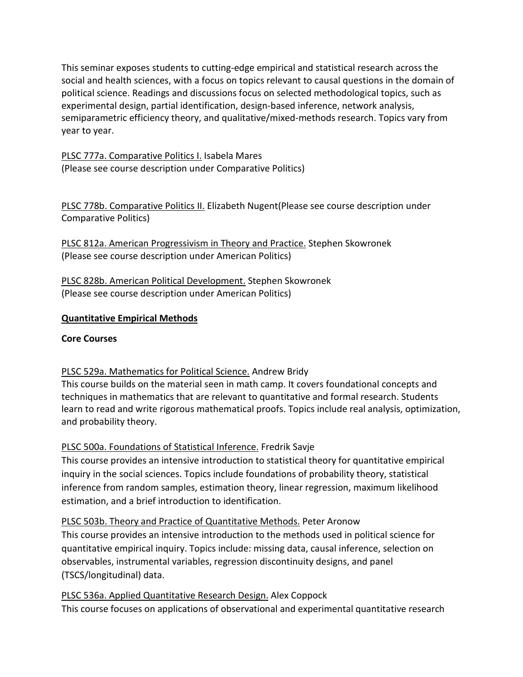This seminar exposes students to cutting-edge empirical and statistical research across the social and health sciences, with a focus on topics relevant to causal questions in the domain of political science. Readings and discussions focus on selected methodological topics, such as experimental design, partial identification, design-based inference, network analysis, semiparametric efficiency theory, and qualitative/mixed-methods research. Topics vary from year to year.

PLSC 777a. Comparative Politics I. Isabela Mares (Please see course description under Comparative Politics)

PLSC 778b. Comparative Politics II. Elizabeth Nugent(Please see course description under Comparative Politics)

PLSC 812a. American Progressivism in Theory and Practice. Stephen Skowronek (Please see course description under American Politics)

PLSC 828b. American Political Development. Stephen Skowronek (Please see course description under American Politics)

# **Quantitative Empirical Methods**

# **Core Courses**

# PLSC 529a. Mathematics for Political Science. Andrew Bridy

This course builds on the material seen in math camp. It covers foundational concepts and techniques in mathematics that are relevant to quantitative and formal research. Students learn to read and write rigorous mathematical proofs. Topics include real analysis, optimization, and probability theory.

# PLSC 500a. Foundations of Statistical Inference. Fredrik Savje

This course provides an intensive introduction to statistical theory for quantitative empirical inquiry in the social sciences. Topics include foundations of probability theory, statistical inference from random samples, estimation theory, linear regression, maximum likelihood estimation, and a brief introduction to identification.

# PLSC 503b. Theory and Practice of Quantitative Methods. Peter Aronow

This course provides an intensive introduction to the methods used in political science for quantitative empirical inquiry. Topics include: missing data, causal inference, selection on observables, instrumental variables, regression discontinuity designs, and panel (TSCS/longitudinal) data.

PLSC 536a. Applied Quantitative Research Design. Alex Coppock This course focuses on applications of observational and experimental quantitative research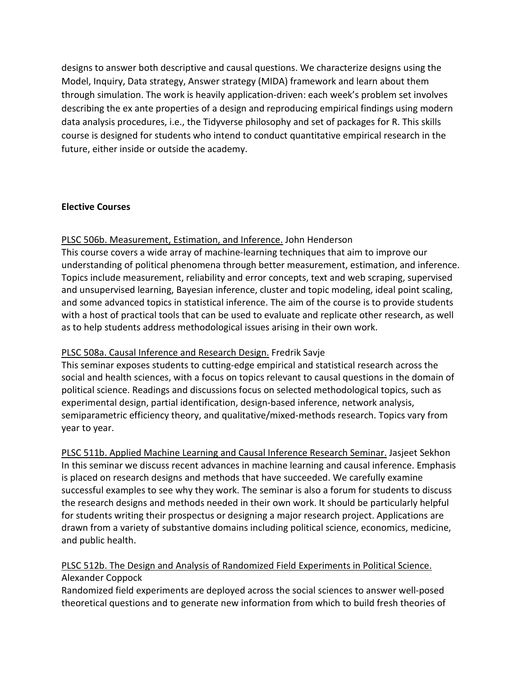designs to answer both descriptive and causal questions. We characterize designs using the Model, Inquiry, Data strategy, Answer strategy (MIDA) framework and learn about them through simulation. The work is heavily application-driven: each week's problem set involves describing the ex ante properties of a design and reproducing empirical findings using modern data analysis procedures, i.e., the Tidyverse philosophy and set of packages for R. This skills course is designed for students who intend to conduct quantitative empirical research in the future, either inside or outside the academy.

#### **Elective Courses**

# PLSC 506b. Measurement, Estimation, and Inference. John Henderson

This course covers a wide array of machine-learning techniques that aim to improve our understanding of political phenomena through better measurement, estimation, and inference. Topics include measurement, reliability and error concepts, text and web scraping, supervised and unsupervised learning, Bayesian inference, cluster and topic modeling, ideal point scaling, and some advanced topics in statistical inference. The aim of the course is to provide students with a host of practical tools that can be used to evaluate and replicate other research, as well as to help students address methodological issues arising in their own work.

# PLSC 508a. Causal Inference and Research Design. Fredrik Savje

This seminar exposes students to cutting-edge empirical and statistical research across the social and health sciences, with a focus on topics relevant to causal questions in the domain of political science. Readings and discussions focus on selected methodological topics, such as experimental design, partial identification, design-based inference, network analysis, semiparametric efficiency theory, and qualitative/mixed-methods research. Topics vary from year to year.

PLSC 511b. Applied Machine Learning and Causal Inference Research Seminar. Jasjeet Sekhon In this seminar we discuss recent advances in machine learning and causal inference. Emphasis is placed on research designs and methods that have succeeded. We carefully examine successful examples to see why they work. The seminar is also a forum for students to discuss the research designs and methods needed in their own work. It should be particularly helpful for students writing their prospectus or designing a major research project. Applications are drawn from a variety of substantive domains including political science, economics, medicine, and public health.

# PLSC 512b. The Design and Analysis of Randomized Field Experiments in Political Science. Alexander Coppock

Randomized field experiments are deployed across the social sciences to answer well-posed theoretical questions and to generate new information from which to build fresh theories of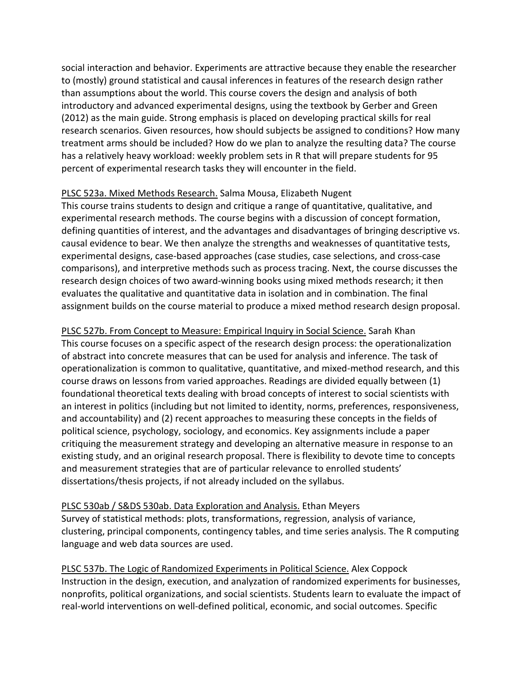social interaction and behavior. Experiments are attractive because they enable the researcher to (mostly) ground statistical and causal inferences in features of the research design rather than assumptions about the world. This course covers the design and analysis of both introductory and advanced experimental designs, using the textbook by Gerber and Green (2012) as the main guide. Strong emphasis is placed on developing practical skills for real research scenarios. Given resources, how should subjects be assigned to conditions? How many treatment arms should be included? How do we plan to analyze the resulting data? The course has a relatively heavy workload: weekly problem sets in R that will prepare students for 95 percent of experimental research tasks they will encounter in the field.

#### PLSC 523a. Mixed Methods Research. Salma Mousa, Elizabeth Nugent

This course trains students to design and critique a range of quantitative, qualitative, and experimental research methods. The course begins with a discussion of concept formation, defining quantities of interest, and the advantages and disadvantages of bringing descriptive vs. causal evidence to bear. We then analyze the strengths and weaknesses of quantitative tests, experimental designs, case-based approaches (case studies, case selections, and cross-case comparisons), and interpretive methods such as process tracing. Next, the course discusses the research design choices of two award-winning books using mixed methods research; it then evaluates the qualitative and quantitative data in isolation and in combination. The final assignment builds on the course material to produce a mixed method research design proposal.

PLSC 527b. From Concept to Measure: Empirical Inquiry in Social Science. Sarah Khan This course focuses on a specific aspect of the research design process: the operationalization of abstract into concrete measures that can be used for analysis and inference. The task of operationalization is common to qualitative, quantitative, and mixed-method research, and this course draws on lessons from varied approaches. Readings are divided equally between (1) foundational theoretical texts dealing with broad concepts of interest to social scientists with an interest in politics (including but not limited to identity, norms, preferences, responsiveness, and accountability) and (2) recent approaches to measuring these concepts in the fields of political science, psychology, sociology, and economics. Key assignments include a paper critiquing the measurement strategy and developing an alternative measure in response to an existing study, and an original research proposal. There is flexibility to devote time to concepts and measurement strategies that are of particular relevance to enrolled students' dissertations/thesis projects, if not already included on the syllabus.

#### PLSC 530ab / S&DS 530ab. Data Exploration and Analysis. Ethan Meyers

Survey of statistical methods: plots, transformations, regression, analysis of variance, clustering, principal components, contingency tables, and time series analysis. The R computing language and web data sources are used.

PLSC 537b. The Logic of Randomized Experiments in Political Science. Alex Coppock Instruction in the design, execution, and analyzation of randomized experiments for businesses, nonprofits, political organizations, and social scientists. Students learn to evaluate the impact of real-world interventions on well-defined political, economic, and social outcomes. Specific